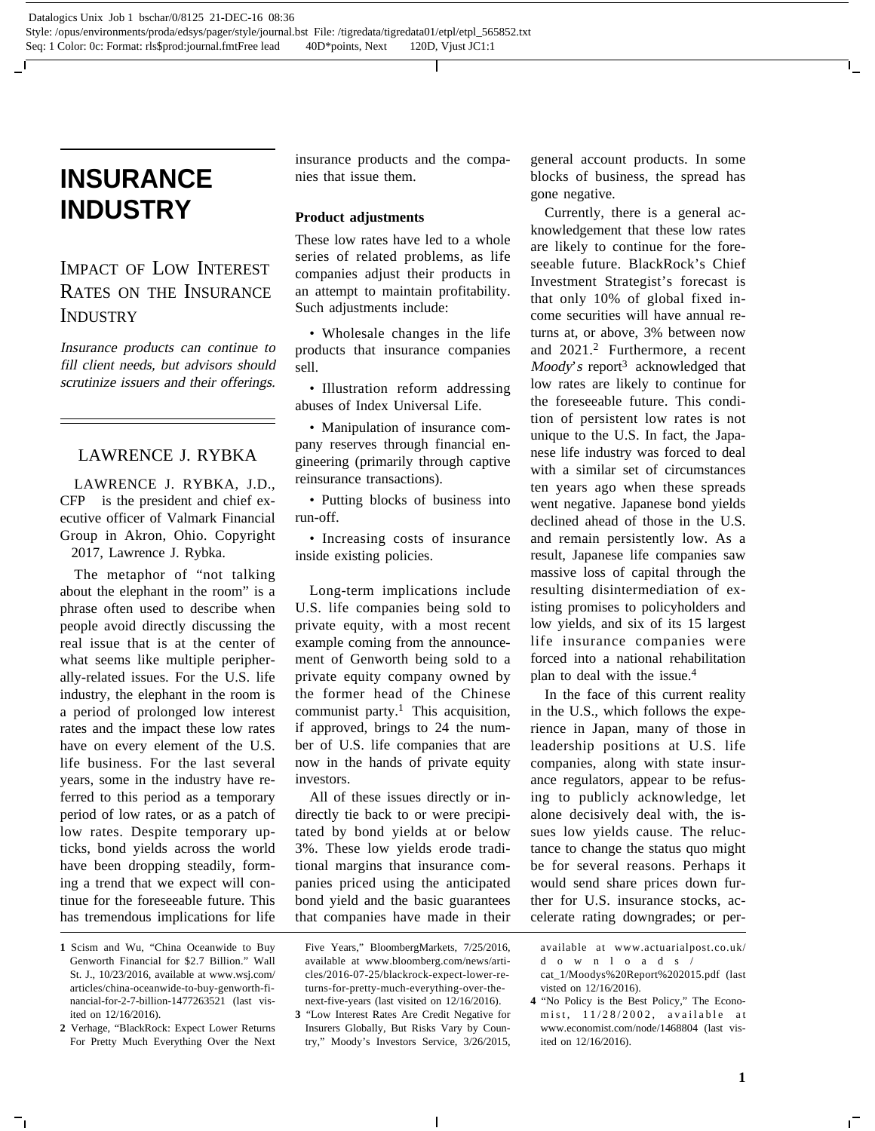# **INSURANCE INDUSTRY**

# IMPACT OF LOW INTEREST RATES ON THE INSURANCE INDUSTRY

Insurance products can continue to fill client needs, but advisors should scrutinize issuers and their offerings.

## LAWRENCE J. RYBKA

LAWRENCE J. RYBKA, J.D.,  $CFP<sup>®</sup>$  is the president and chief executive officer of Valmark Financial Group in Akron, Ohio. Copyright 2017, Lawrence J. Rybka.

The metaphor of "not talking about the elephant in the room" is a phrase often used to describe when people avoid directly discussing the real issue that is at the center of what seems like multiple peripherally-related issues. For the U.S. life industry, the elephant in the room is a period of prolonged low interest rates and the impact these low rates have on every element of the U.S. life business. For the last several years, some in the industry have referred to this period as a temporary period of low rates, or as a patch of low rates. Despite temporary upticks, bond yields across the world have been dropping steadily, forming a trend that we expect will continue for the foreseeable future. This has tremendous implications for life

- **1** Scism and Wu, "China Oceanwide to Buy Genworth Financial for \$2.7 Billion." Wall St. J., 10/23/2016, available at www.wsj.com/ articles/china-oceanwide-to-buy-genworth-financial-for-2-7-billion-1477263521 (last visited on 12/16/2016).
- **2** Verhage, "BlackRock: Expect Lower Returns For Pretty Much Everything Over the Next

insurance products and the companies that issue them.

#### **Product adjustments**

These low rates have led to a whole series of related problems, as life companies adjust their products in an attempt to maintain profitability. Such adjustments include:

• Wholesale changes in the life products that insurance companies sell.

• Illustration reform addressing abuses of Index Universal Life.

• Manipulation of insurance company reserves through financial engineering (primarily through captive reinsurance transactions).

• Putting blocks of business into run-off.

• Increasing costs of insurance inside existing policies.

Long-term implications include U.S. life companies being sold to private equity, with a most recent example coming from the announcement of Genworth being sold to a private equity company owned by the former head of the Chinese communist party.<sup>1</sup> This acquisition, if approved, brings to 24 the number of U.S. life companies that are now in the hands of private equity investors.

All of these issues directly or indirectly tie back to or were precipitated by bond yields at or below 3%. These low yields erode traditional margins that insurance companies priced using the anticipated bond yield and the basic guarantees that companies have made in their

 $\overline{\phantom{a}}$ 

general account products. In some blocks of business, the spread has gone negative.

Currently, there is a general acknowledgement that these low rates are likely to continue for the foreseeable future. BlackRock's Chief Investment Strategist's forecast is that only 10% of global fixed income securities will have annual returns at, or above, 3% between now and 2021.<sup>2</sup> Furthermore, a recent  $Mody's$  report<sup>3</sup> acknowledged that low rates are likely to continue for the foreseeable future. This condition of persistent low rates is not unique to the U.S. In fact, the Japanese life industry was forced to deal with a similar set of circumstances ten years ago when these spreads went negative. Japanese bond yields declined ahead of those in the U.S. and remain persistently low. As a result, Japanese life companies saw massive loss of capital through the resulting disintermediation of existing promises to policyholders and low yields, and six of its 15 largest life insurance companies were forced into a national rehabilitation plan to deal with the issue.<sup>4</sup>

In the face of this current reality in the U.S., which follows the experience in Japan, many of those in leadership positions at U.S. life companies, along with state insurance regulators, appear to be refusing to publicly acknowledge, let alone decisively deal with, the issues low yields cause. The reluctance to change the status quo might be for several reasons. Perhaps it would send share prices down further for U.S. insurance stocks, accelerate rating downgrades; or per-

Five Years," BloombergMarkets, 7/25/2016, available at www.bloomberg.com/news/articles/2016-07-25/blackrock-expect-lower-returns-for-pretty-much-everything-over-thenext-five-years (last visited on 12/16/2016).

**<sup>3</sup>** "Low Interest Rates Are Credit Negative for Insurers Globally, But Risks Vary by Country," Moody's Investors Service, 3/26/2015,

available at www.actuarialpost.co.uk/ downloads/ cat\_1/Moodys%20Report%202015.pdf (last visted on 12/16/2016).

**<sup>4</sup>** "No Policy is the Best Policy," The Economist, 11/28/2002, available at www.economist.com/node/1468804 (last visited on 12/16/2016).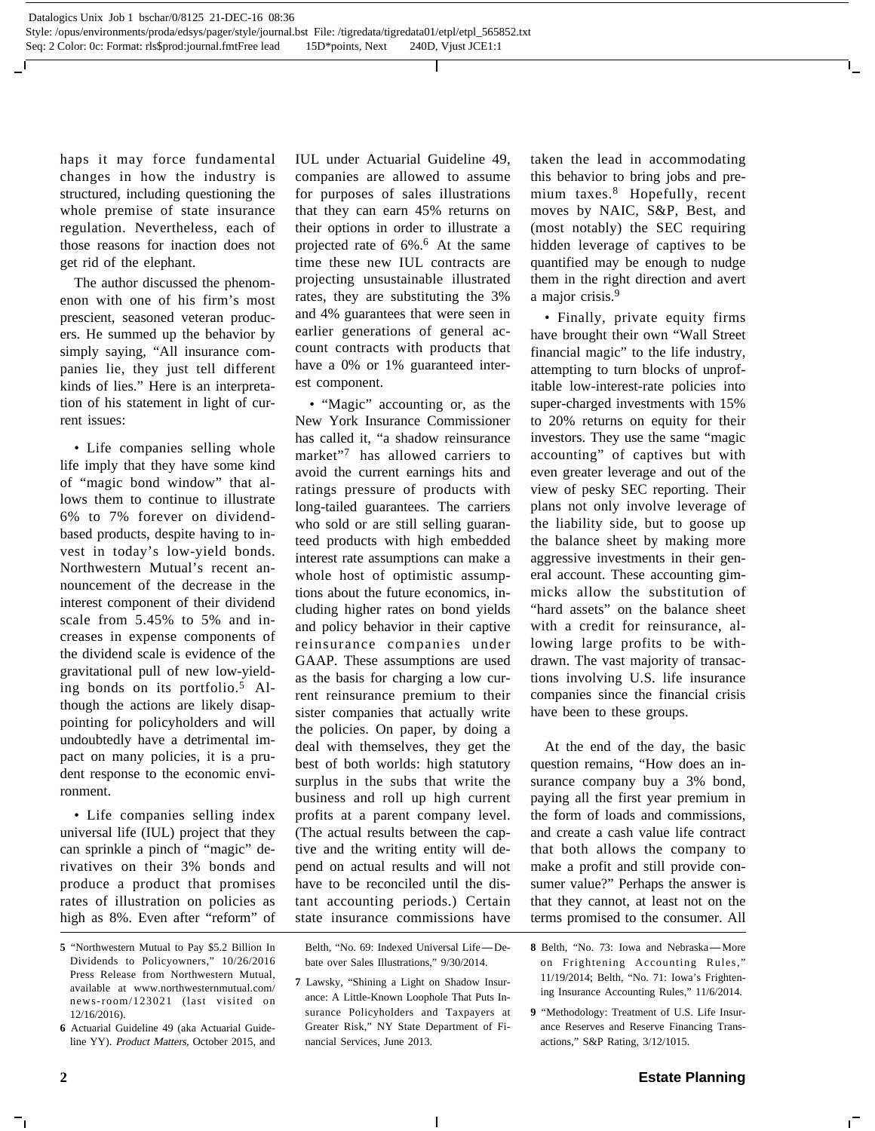haps it may force fundamental changes in how the industry is structured, including questioning the whole premise of state insurance regulation. Nevertheless, each of those reasons for inaction does not get rid of the elephant.

The author discussed the phenomenon with one of his firm's most prescient, seasoned veteran producers. He summed up the behavior by simply saying, "All insurance companies lie, they just tell different kinds of lies." Here is an interpretation of his statement in light of current issues:

• Life companies selling whole life imply that they have some kind of "magic bond window" that allows them to continue to illustrate 6% to 7% forever on dividendbased products, despite having to invest in today's low-yield bonds. Northwestern Mutual's recent announcement of the decrease in the interest component of their dividend scale from 5.45% to 5% and increases in expense components of the dividend scale is evidence of the gravitational pull of new low-yielding bonds on its portfolio.<sup>5</sup> Although the actions are likely disappointing for policyholders and will undoubtedly have a detrimental impact on many policies, it is a prudent response to the economic environment.

• Life companies selling index universal life (IUL) project that they can sprinkle a pinch of "magic" derivatives on their 3% bonds and produce a product that promises rates of illustration on policies as high as 8%. Even after "reform" of

**6** Actuarial Guideline 49 (aka Actuarial Guideline YY). Product Matters, October 2015, and

IUL under Actuarial Guideline 49, companies are allowed to assume for purposes of sales illustrations that they can earn 45% returns on their options in order to illustrate a projected rate of 6%.<sup>6</sup> At the same time these new IUL contracts are projecting unsustainable illustrated rates, they are substituting the 3% and 4% guarantees that were seen in earlier generations of general account contracts with products that have a 0% or 1% guaranteed interest component.

• "Magic" accounting or, as the New York Insurance Commissioner has called it, "a shadow reinsurance market"<sup>7</sup> has allowed carriers to avoid the current earnings hits and ratings pressure of products with long-tailed guarantees. The carriers who sold or are still selling guaranteed products with high embedded interest rate assumptions can make a whole host of optimistic assumptions about the future economics, including higher rates on bond yields and policy behavior in their captive reinsurance companies under GAAP. These assumptions are used as the basis for charging a low current reinsurance premium to their sister companies that actually write the policies. On paper, by doing a deal with themselves, they get the best of both worlds: high statutory surplus in the subs that write the business and roll up high current profits at a parent company level. (The actual results between the captive and the writing entity will depend on actual results and will not have to be reconciled until the distant accounting periods.) Certain state insurance commissions have

Belth, "No. 69: Indexed Universal Life—Debate over Sales Illustrations," 9/30/2014.

 $\overline{\phantom{a}}$ 

taken the lead in accommodating this behavior to bring jobs and premium taxes.<sup>8</sup> Hopefully, recent moves by NAIC, S&P, Best, and (most notably) the SEC requiring hidden leverage of captives to be quantified may be enough to nudge them in the right direction and avert a major crisis.<sup>9</sup>

• Finally, private equity firms have brought their own "Wall Street financial magic" to the life industry, attempting to turn blocks of unprofitable low-interest-rate policies into super-charged investments with 15% to 20% returns on equity for their investors. They use the same "magic accounting" of captives but with even greater leverage and out of the view of pesky SEC reporting. Their plans not only involve leverage of the liability side, but to goose up the balance sheet by making more aggressive investments in their general account. These accounting gimmicks allow the substitution of "hard assets" on the balance sheet with a credit for reinsurance, allowing large profits to be withdrawn. The vast majority of transactions involving U.S. life insurance companies since the financial crisis have been to these groups.

At the end of the day, the basic question remains, "How does an insurance company buy a 3% bond, paying all the first year premium in the form of loads and commissions, and create a cash value life contract that both allows the company to make a profit and still provide consumer value?" Perhaps the answer is that they cannot, at least not on the terms promised to the consumer. All

**<sup>5</sup>** "Northwestern Mutual to Pay \$5.2 Billion In Dividends to Policyowners," 10/26/2016 Press Release from Northwestern Mutual, available at www.northwesternmutual.com/ news-room/123021 (last visited on 12/16/2016).

**<sup>7</sup>** Lawsky, "Shining a Light on Shadow Insurance: A Little-Known Loophole That Puts Insurance Policyholders and Taxpayers at Greater Risk," NY State Department of Financial Services, June 2013.

**<sup>8</sup>** Belth, "No. 73: Iowa and Nebraska—More on Frightening Accounting Rules," 11/19/2014; Belth, "No. 71: Iowa's Frightening Insurance Accounting Rules," 11/6/2014.

**<sup>9</sup>** "Methodology: Treatment of U.S. Life Insurance Reserves and Reserve Financing Transactions," S&P Rating, 3/12/1015.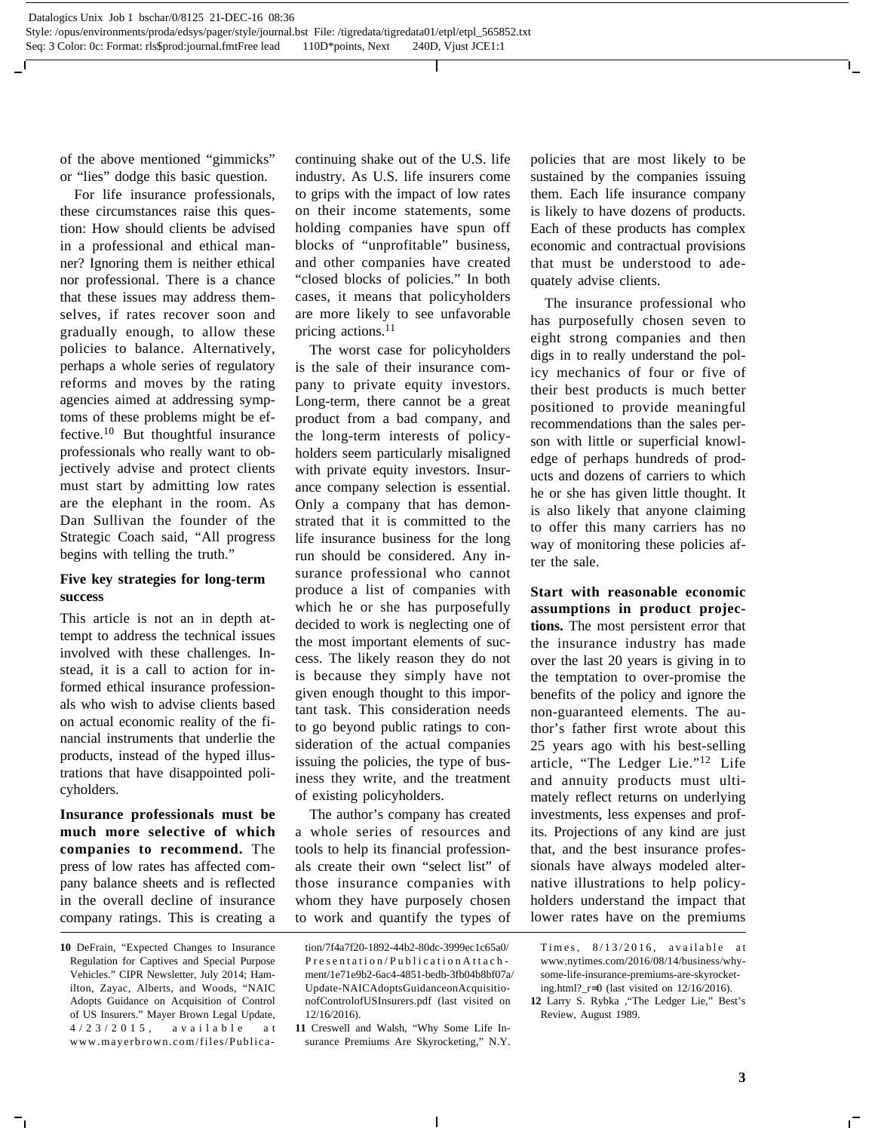of the above mentioned "gimmicks" or "lies" dodge this basic question.

For life insurance professionals, these circumstances raise this question: How should clients be advised in a professional and ethical manner? Ignoring them is neither ethical nor professional. There is a chance that these issues may address themselves, if rates recover soon and gradually enough, to allow these policies to balance. Alternatively, perhaps a whole series of regulatory reforms and moves by the rating agencies aimed at addressing symptoms of these problems might be effective.10 But thoughtful insurance professionals who really want to objectively advise and protect clients must start by admitting low rates are the elephant in the room. As Dan Sullivan the founder of the Strategic Coach said, "All progress begins with telling the truth."

### **Five key strategies for long-term success**

This article is not an in depth attempt to address the technical issues involved with these challenges. Instead, it is a call to action for informed ethical insurance professionals who wish to advise clients based on actual economic reality of the financial instruments that underlie the products, instead of the hyped illustrations that have disappointed policyholders.

**Insurance professionals must be much more selective of which companies to recommend.** The press of low rates has affected company balance sheets and is reflected in the overall decline of insurance company ratings. This is creating a

continuing shake out of the U.S. life industry. As U.S. life insurers come to grips with the impact of low rates on their income statements, some holding companies have spun off blocks of "unprofitable" business, and other companies have created "closed blocks of policies." In both cases, it means that policyholders are more likely to see unfavorable pricing actions.<sup>11</sup>

T

The worst case for policyholders is the sale of their insurance company to private equity investors. Long-term, there cannot be a great product from a bad company, and the long-term interests of policyholders seem particularly misaligned with private equity investors. Insurance company selection is essential. Only a company that has demonstrated that it is committed to the life insurance business for the long run should be considered. Any insurance professional who cannot produce a list of companies with which he or she has purposefully decided to work is neglecting one of the most important elements of success. The likely reason they do not is because they simply have not given enough thought to this important task. This consideration needs to go beyond public ratings to consideration of the actual companies issuing the policies, the type of business they write, and the treatment of existing policyholders.

The author's company has created a whole series of resources and tools to help its financial professionals create their own "select list" of those insurance companies with whom they have purposely chosen to work and quantify the types of

 $\overline{\phantom{a}}$ 

policies that are most likely to be sustained by the companies issuing them. Each life insurance company is likely to have dozens of products. Each of these products has complex economic and contractual provisions that must be understood to adequately advise clients.

The insurance professional who has purposefully chosen seven to eight strong companies and then digs in to really understand the policy mechanics of four or five of their best products is much better positioned to provide meaningful recommendations than the sales person with little or superficial knowledge of perhaps hundreds of products and dozens of carriers to which he or she has given little thought. It is also likely that anyone claiming to offer this many carriers has no way of monitoring these policies after the sale.

**Start with reasonable economic assumptions in product projections.** The most persistent error that the insurance industry has made over the last 20 years is giving in to the temptation to over-promise the benefits of the policy and ignore the non-guaranteed elements. The author's father first wrote about this 25 years ago with his best-selling article, "The Ledger Lie."12 Life and annuity products must ultimately reflect returns on underlying investments, less expenses and profits. Projections of any kind are just that, and the best insurance professionals have always modeled alternative illustrations to help policyholders understand the impact that lower rates have on the premiums

**<sup>10</sup>** DeFrain, "Expected Changes to Insurance Regulation for Captives and Special Purpose Vehicles." CIPR Newsletter, July 2014; Hamilton, Zayac, Alberts, and Woods, "NAIC Adopts Guidance on Acquisition of Control of US Insurers." Mayer Brown Legal Update, 4/23/2015, available at www.mayerbrown.com/files/Publica-

tion/7f4a7f20-1892-44b2-80dc-3999ec1c65a0/ Presentation/PublicationAttachment/1e71e9b2-6ac4-4851-bedb-3fb04b8bf07a/ Update-NAICAdoptsGuidanceonAcquisitionofControlofUSInsurers.pdf (last visited on 12/16/2016).

**<sup>11</sup>** Creswell and Walsh, "Why Some Life Insurance Premiums Are Skyrocketing," N.Y.

Times, 8/13/2016, available at www.nytimes.com/2016/08/14/business/whysome-life-insurance-premiums-are-skyrocketing.html?\_r=0 (last visited on 12/16/2016).

**<sup>12</sup>** Larry S. Rybka ,"The Ledger Lie," Best's Review, August 1989.